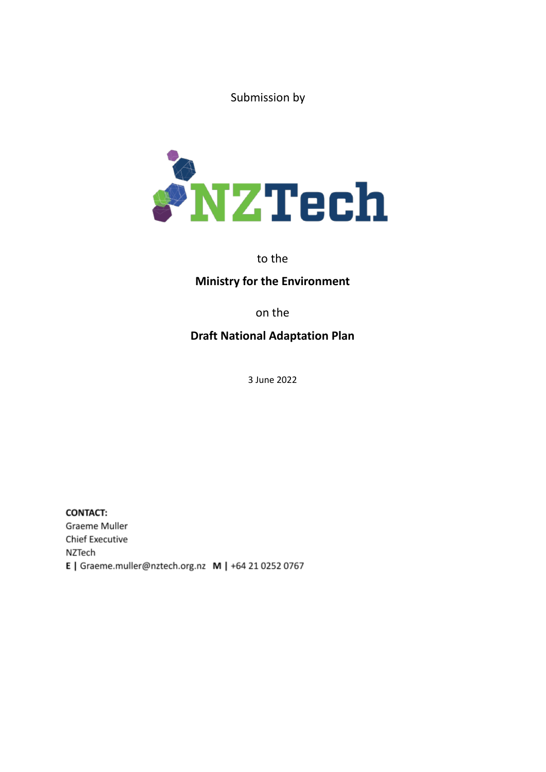Submission by



to the

## **Ministry for the Environment**

on the

# **Draft National Adaptation Plan**

3 June 2022

**CONTACT:** Graeme Muller **Chief Executive** NZTech E | Graeme.muller@nztech.org.nz M | +64 21 0252 0767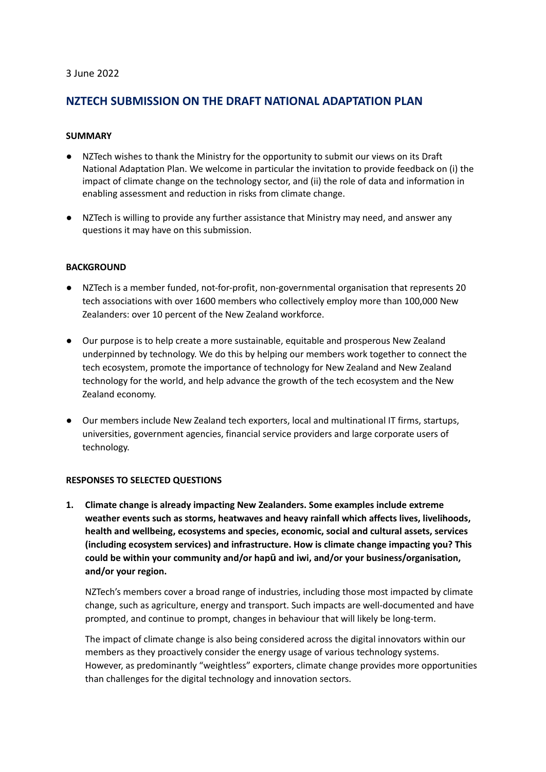#### 3 June 2022

### **NZTECH SUBMISSION ON THE DRAFT NATIONAL ADAPTATION PLAN**

#### **SUMMARY**

- NZTech wishes to thank the Ministry for the opportunity to submit our views on its Draft National Adaptation Plan. We welcome in particular the invitation to provide feedback on (i) the impact of climate change on the technology sector, and (ii) the role of data and information in enabling assessment and reduction in risks from climate change.
- NZTech is willing to provide any further assistance that Ministry may need, and answer any questions it may have on this submission.

#### **BACKGROUND**

- NZTech is a member funded, not-for-profit, non-governmental organisation that represents 20 tech associations with over 1600 members who collectively employ more than 100,000 New Zealanders: over 10 percent of the New Zealand workforce.
- Our purpose is to help create a more sustainable, equitable and prosperous New Zealand underpinned by technology. We do this by helping our members work together to connect the tech ecosystem, promote the importance of technology for New Zealand and New Zealand technology for the world, and help advance the growth of the tech ecosystem and the New Zealand economy.
- Our members include New Zealand tech exporters, local and multinational IT firms, startups, universities, government agencies, financial service providers and large corporate users of technology.

#### **RESPONSES TO SELECTED QUESTIONS**

**1. Climate change is already impacting New Zealanders. Some examples include extreme weather events such as storms, heatwaves and heavy rainfall which affects lives, livelihoods, health and wellbeing, ecosystems and species, economic, social and cultural assets, services (including ecosystem services) and infrastructure. How is climate change impacting you? This could be within your community and/or hapū and iwi, and/or your business/organisation, and/or your region.**

NZTech's members cover a broad range of industries, including those most impacted by climate change, such as agriculture, energy and transport. Such impacts are well-documented and have prompted, and continue to prompt, changes in behaviour that will likely be long-term.

The impact of climate change is also being considered across the digital innovators within our members as they proactively consider the energy usage of various technology systems. However, as predominantly "weightless" exporters, climate change provides more opportunities than challenges for the digital technology and innovation sectors.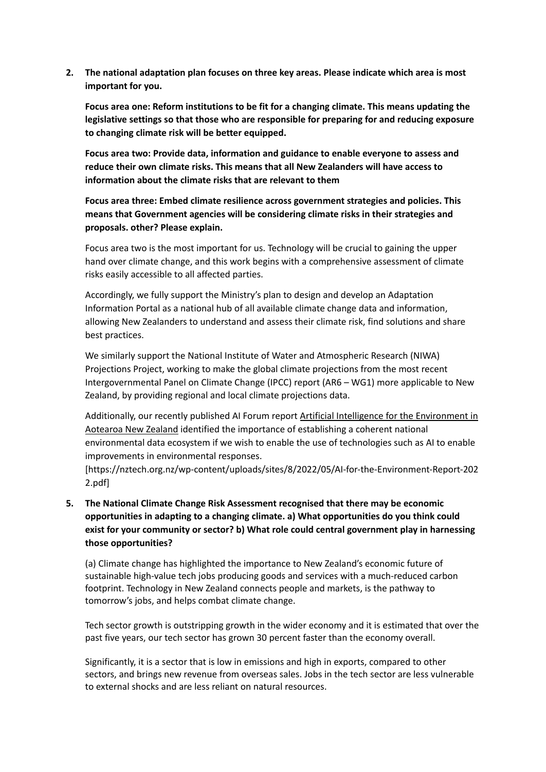**2. The national adaptation plan focuses on three key areas. Please indicate which area is most important for you.**

**Focus area one: Reform institutions to be fit for a changing climate. This means updating the legislative settings so that those who are responsible for preparing for and reducing exposure to changing climate risk will be better equipped.**

**Focus area two: Provide data, information and guidance to enable everyone to assess and reduce their own climate risks. This means that all New Zealanders will have access to information about the climate risks that are relevant to them**

**Focus area three: Embed climate resilience across government strategies and policies. This means that Government agencies will be considering climate risks in their strategies and proposals. other? Please explain.**

Focus area two is the most important for us. Technology will be crucial to gaining the upper hand over climate change, and this work begins with a comprehensive assessment of climate risks easily accessible to all affected parties.

Accordingly, we fully support the Ministry's plan to design and develop an Adaptation Information Portal as a national hub of all available climate change data and information, allowing New Zealanders to understand and assess their climate risk, find solutions and share best practices.

We similarly support the National Institute of Water and Atmospheric Research (NIWA) Projections Project, working to make the global climate projections from the most recent Intergovernmental Panel on Climate Change (IPCC) report (AR6 – WG1) more applicable to New Zealand, by providing regional and local climate projections data.

Additionally, our recently published AI Forum report Artificial Intelligence for the [Environment](https://nztech.org.nz/wp-content/uploads/sites/8/2022/05/AI-for-the-Environment-Report-2022.pdf) in [Aotearoa](https://nztech.org.nz/wp-content/uploads/sites/8/2022/05/AI-for-the-Environment-Report-2022.pdf) New Zealand identified the importance of establishing a coherent national environmental data ecosystem if we wish to enable the use of technologies such as AI to enable improvements in environmental responses.

[https://nztech.org.nz/wp-content/uploads/sites/8/2022/05/AI-for-the-Environment-Report-202 2.pdf]

**5. The National Climate Change Risk Assessment recognised that there may be economic opportunities in adapting to a changing climate. a) What opportunities do you think could exist for your community or sector? b) What role could central government play in harnessing those opportunities?**

(a) Climate change has highlighted the importance to New Zealand's economic future of sustainable high-value tech jobs producing goods and services with a much-reduced carbon footprint. Technology in New Zealand connects people and markets, is the pathway to tomorrow's jobs, and helps combat climate change.

Tech sector growth is outstripping growth in the wider economy and it is estimated that over the past five years, our tech sector has grown 30 percent faster than the economy overall.

Significantly, it is a sector that is low in emissions and high in exports, compared to other sectors, and brings new revenue from overseas sales. Jobs in the tech sector are less vulnerable to external shocks and are less reliant on natural resources.